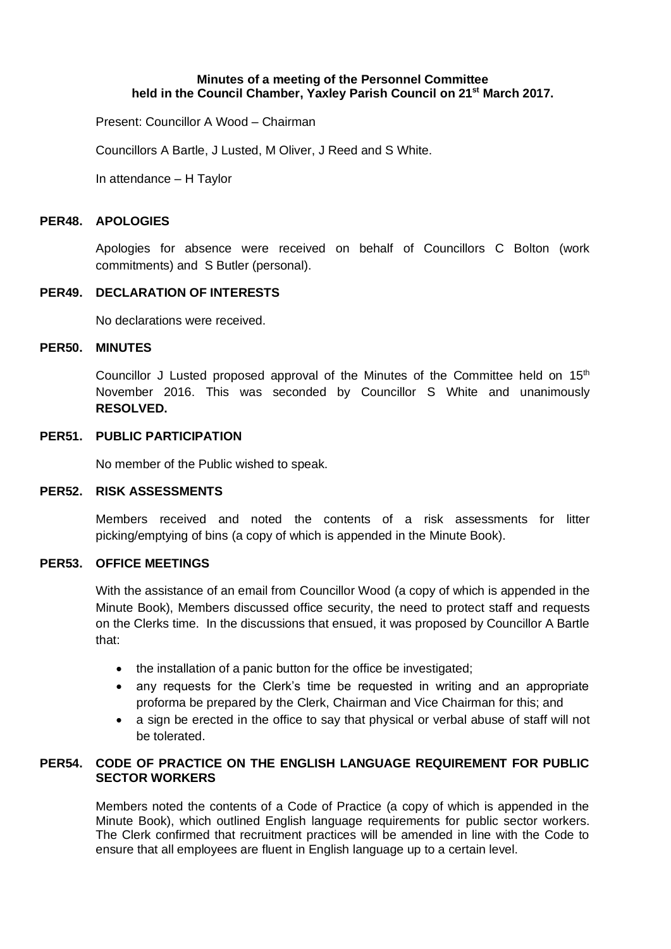### **Minutes of a meeting of the Personnel Committee held in the Council Chamber, Yaxley Parish Council on 21st March 2017.**

Present: Councillor A Wood – Chairman

Councillors A Bartle, J Lusted, M Oliver, J Reed and S White.

In attendance – H Taylor

### **PER48. APOLOGIES**

Apologies for absence were received on behalf of Councillors C Bolton (work commitments) and S Butler (personal).

## **PER49. DECLARATION OF INTERESTS**

No declarations were received.

#### **PER50. MINUTES**

Councillor J Lusted proposed approval of the Minutes of the Committee held on  $15<sup>th</sup>$ November 2016. This was seconded by Councillor S White and unanimously **RESOLVED.**

### **PER51. PUBLIC PARTICIPATION**

No member of the Public wished to speak.

### **PER52. RISK ASSESSMENTS**

Members received and noted the contents of a risk assessments for litter picking/emptying of bins (a copy of which is appended in the Minute Book).

# **PER53. OFFICE MEETINGS**

With the assistance of an email from Councillor Wood (a copy of which is appended in the Minute Book), Members discussed office security, the need to protect staff and requests on the Clerks time. In the discussions that ensued, it was proposed by Councillor A Bartle that:

- the installation of a panic button for the office be investigated;
- any requests for the Clerk's time be requested in writing and an appropriate proforma be prepared by the Clerk, Chairman and Vice Chairman for this; and
- a sign be erected in the office to say that physical or verbal abuse of staff will not be tolerated.

# **PER54. CODE OF PRACTICE ON THE ENGLISH LANGUAGE REQUIREMENT FOR PUBLIC SECTOR WORKERS**

Members noted the contents of a Code of Practice (a copy of which is appended in the Minute Book), which outlined English language requirements for public sector workers. The Clerk confirmed that recruitment practices will be amended in line with the Code to ensure that all employees are fluent in English language up to a certain level.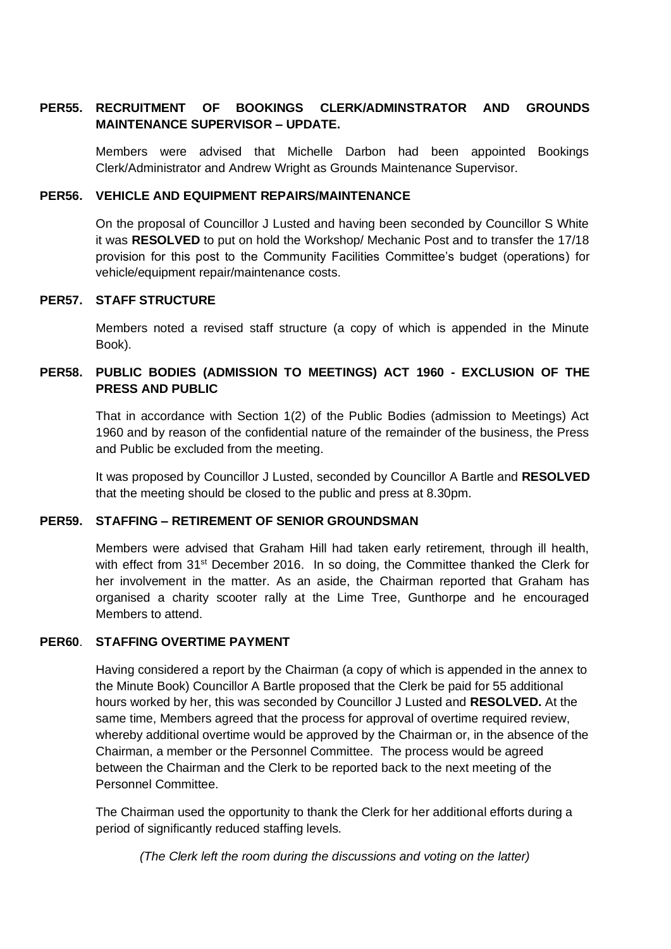# **PER55. RECRUITMENT OF BOOKINGS CLERK/ADMINSTRATOR AND GROUNDS MAINTENANCE SUPERVISOR – UPDATE.**

Members were advised that Michelle Darbon had been appointed Bookings Clerk/Administrator and Andrew Wright as Grounds Maintenance Supervisor.

### **PER56. VEHICLE AND EQUIPMENT REPAIRS/MAINTENANCE**

On the proposal of Councillor J Lusted and having been seconded by Councillor S White it was **RESOLVED** to put on hold the Workshop/ Mechanic Post and to transfer the 17/18 provision for this post to the Community Facilities Committee's budget (operations) for vehicle/equipment repair/maintenance costs.

### **PER57. STAFF STRUCTURE**

Members noted a revised staff structure (a copy of which is appended in the Minute Book).

# **PER58. PUBLIC BODIES (ADMISSION TO MEETINGS) ACT 1960 - EXCLUSION OF THE PRESS AND PUBLIC**

That in accordance with Section 1(2) of the Public Bodies (admission to Meetings) Act 1960 and by reason of the confidential nature of the remainder of the business, the Press and Public be excluded from the meeting.

It was proposed by Councillor J Lusted, seconded by Councillor A Bartle and **RESOLVED** that the meeting should be closed to the public and press at 8.30pm.

#### **PER59. STAFFING – RETIREMENT OF SENIOR GROUNDSMAN**

Members were advised that Graham Hill had taken early retirement, through ill health, with effect from 31<sup>st</sup> December 2016. In so doing, the Committee thanked the Clerk for her involvement in the matter. As an aside, the Chairman reported that Graham has organised a charity scooter rally at the Lime Tree, Gunthorpe and he encouraged Members to attend.

# **PER60**. **STAFFING OVERTIME PAYMENT**

Having considered a report by the Chairman (a copy of which is appended in the annex to the Minute Book) Councillor A Bartle proposed that the Clerk be paid for 55 additional hours worked by her, this was seconded by Councillor J Lusted and **RESOLVED.** At the same time, Members agreed that the process for approval of overtime required review, whereby additional overtime would be approved by the Chairman or, in the absence of the Chairman, a member or the Personnel Committee. The process would be agreed between the Chairman and the Clerk to be reported back to the next meeting of the Personnel Committee.

The Chairman used the opportunity to thank the Clerk for her additional efforts during a period of significantly reduced staffing levels.

*(The Clerk left the room during the discussions and voting on the latter)*